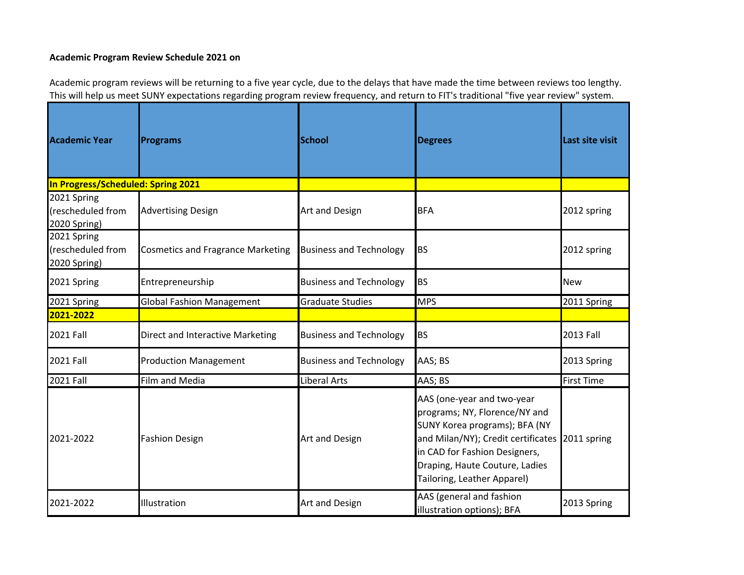## **Academic Program Review Schedule 2021 on**

Academic program reviews will be returning to <sup>a</sup> five year cycle, due to the delays that have made the time between reviews too lengthy. This will help us meet SUNY expectations regarding program review frequency, and return to FIT's traditional "five year review" system.

| <b>Academic Year</b>                             | <b>Programs</b>                          | <b>School</b>                  | <b>Degrees</b>                                                                                                                                                                                                                                   | Last site visit   |
|--------------------------------------------------|------------------------------------------|--------------------------------|--------------------------------------------------------------------------------------------------------------------------------------------------------------------------------------------------------------------------------------------------|-------------------|
| In Progress/Scheduled: Spring 2021               |                                          |                                |                                                                                                                                                                                                                                                  |                   |
| 2021 Spring<br>(rescheduled from<br>2020 Spring) | <b>Advertising Design</b>                | Art and Design                 | <b>BFA</b>                                                                                                                                                                                                                                       | 2012 spring       |
| 2021 Spring<br>(rescheduled from<br>2020 Spring) | <b>Cosmetics and Fragrance Marketing</b> | <b>Business and Technology</b> | <b>BS</b>                                                                                                                                                                                                                                        | 2012 spring       |
| 2021 Spring                                      | Entrepreneurship                         | <b>Business and Technology</b> | <b>BS</b>                                                                                                                                                                                                                                        | <b>New</b>        |
| 2021 Spring                                      | <b>Global Fashion Management</b>         | <b>Graduate Studies</b>        | <b>MPS</b>                                                                                                                                                                                                                                       | 2011 Spring       |
| 2021-2022                                        |                                          |                                |                                                                                                                                                                                                                                                  |                   |
| <b>2021 Fall</b>                                 | Direct and Interactive Marketing         | <b>Business and Technology</b> | <b>BS</b>                                                                                                                                                                                                                                        | 2013 Fall         |
| <b>2021 Fall</b>                                 | <b>Production Management</b>             | <b>Business and Technology</b> | AAS; BS                                                                                                                                                                                                                                          | 2013 Spring       |
| <b>2021 Fall</b>                                 | Film and Media                           | Liberal Arts                   | AAS; BS                                                                                                                                                                                                                                          | <b>First Time</b> |
| 2021-2022                                        | <b>Fashion Design</b>                    | Art and Design                 | AAS (one-year and two-year<br>programs; NY, Florence/NY and<br>SUNY Korea programs); BFA (NY<br>and Milan/NY); Credit certificates 2011 spring<br>in CAD for Fashion Designers,<br>Draping, Haute Couture, Ladies<br>Tailoring, Leather Apparel) |                   |
| 2021-2022                                        | Illustration                             | Art and Design                 | AAS (general and fashion<br>illustration options); BFA                                                                                                                                                                                           | 2013 Spring       |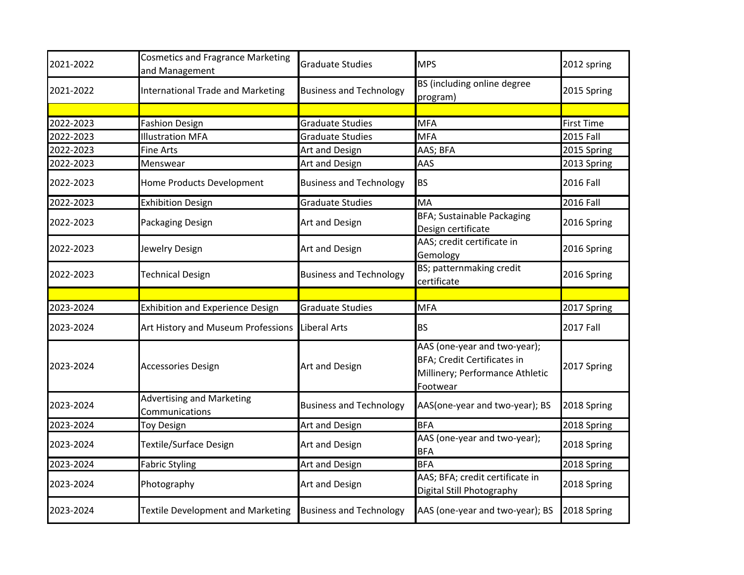| 2021-2022 | <b>Cosmetics and Fragrance Marketing</b><br>and Management | <b>Graduate Studies</b>        | <b>MPS</b>                                                                                                 | 2012 spring       |
|-----------|------------------------------------------------------------|--------------------------------|------------------------------------------------------------------------------------------------------------|-------------------|
| 2021-2022 | <b>International Trade and Marketing</b>                   | <b>Business and Technology</b> | BS (including online degree<br>program)                                                                    | 2015 Spring       |
|           |                                                            |                                |                                                                                                            |                   |
| 2022-2023 | <b>Fashion Design</b>                                      | <b>Graduate Studies</b>        | <b>MFA</b>                                                                                                 | <b>First Time</b> |
| 2022-2023 | <b>Illustration MFA</b>                                    | <b>Graduate Studies</b>        | <b>MFA</b>                                                                                                 | <b>2015 Fall</b>  |
| 2022-2023 | Fine Arts                                                  | Art and Design                 | AAS; BFA                                                                                                   | 2015 Spring       |
| 2022-2023 | Menswear                                                   | Art and Design                 | AAS                                                                                                        | 2013 Spring       |
| 2022-2023 | Home Products Development                                  | <b>Business and Technology</b> | <b>BS</b>                                                                                                  | <b>2016 Fall</b>  |
| 2022-2023 | <b>Exhibition Design</b>                                   | <b>Graduate Studies</b>        | MA                                                                                                         | <b>2016 Fall</b>  |
| 2022-2023 | Packaging Design                                           | Art and Design                 | <b>BFA; Sustainable Packaging</b><br>Design certificate                                                    | 2016 Spring       |
| 2022-2023 | Jewelry Design                                             | Art and Design                 | AAS; credit certificate in<br>Gemology                                                                     | 2016 Spring       |
| 2022-2023 | <b>Technical Design</b>                                    | <b>Business and Technology</b> | BS; patternmaking credit<br>certificate                                                                    | 2016 Spring       |
|           |                                                            |                                |                                                                                                            |                   |
| 2023-2024 | <b>Exhibition and Experience Design</b>                    | <b>Graduate Studies</b>        | <b>MFA</b>                                                                                                 | 2017 Spring       |
| 2023-2024 | Art History and Museum Professions                         | Liberal Arts                   | <b>BS</b>                                                                                                  | <b>2017 Fall</b>  |
| 2023-2024 | <b>Accessories Design</b>                                  | Art and Design                 | AAS (one-year and two-year);<br>BFA; Credit Certificates in<br>Millinery; Performance Athletic<br>Footwear | 2017 Spring       |
| 2023-2024 | <b>Advertising and Marketing</b><br>Communications         | <b>Business and Technology</b> | AAS(one-year and two-year); BS                                                                             | 2018 Spring       |
| 2023-2024 | <b>Toy Design</b>                                          | Art and Design                 | <b>BFA</b>                                                                                                 | 2018 Spring       |
| 2023-2024 | <b>Textile/Surface Design</b>                              | Art and Design                 | AAS (one-year and two-year);<br><b>BFA</b>                                                                 | 2018 Spring       |
| 2023-2024 | <b>Fabric Styling</b>                                      | Art and Design                 | <b>BFA</b>                                                                                                 | 2018 Spring       |
| 2023-2024 | Photography                                                | Art and Design                 | AAS; BFA; credit certificate in<br>Digital Still Photography                                               | 2018 Spring       |
| 2023-2024 | <b>Textile Development and Marketing</b>                   | <b>Business and Technology</b> | AAS (one-year and two-year); BS                                                                            | 2018 Spring       |